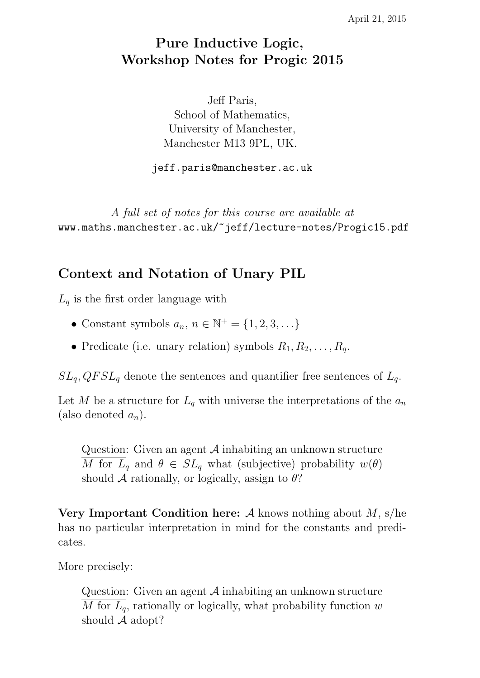# Pure Inductive Logic, Workshop Notes for Progic 2015

Jeff Paris, School of Mathematics, University of Manchester, Manchester M13 9PL, UK.

jeff.paris@manchester.ac.uk

A full set of notes for this course are available at www.maths.manchester.ac.uk/~jeff/lecture-notes/Progic15.pdf

### Context and Notation of Unary PIL

 $L_q$  is the first order language with

- Constant symbols  $a_n, n \in \mathbb{N}^+ = \{1, 2, 3, \ldots\}$
- Predicate (i.e. unary relation) symbols  $R_1, R_2, \ldots, R_q$ .

 $SL_q$ ,  $QFSL_q$  denote the sentences and quantifier free sentences of  $L_q$ .

Let M be a structure for  $L_q$  with universe the interpretations of the  $a_n$ (also denoted  $a_n$ ).

Question: Given an agent  $A$  inhabiting an unknown structure M for  $L_q$  and  $\theta \in SL_q$  what (subjective) probability  $w(\theta)$ should A rationally, or logically, assign to  $\theta$ ?

Very Important Condition here: A knows nothing about  $M$ , s/he has no particular interpretation in mind for the constants and predicates.

More precisely:

Question: Given an agent A inhabiting an unknown structure M for  $L_q$ , rationally or logically, what probability function w should  $A$  adopt?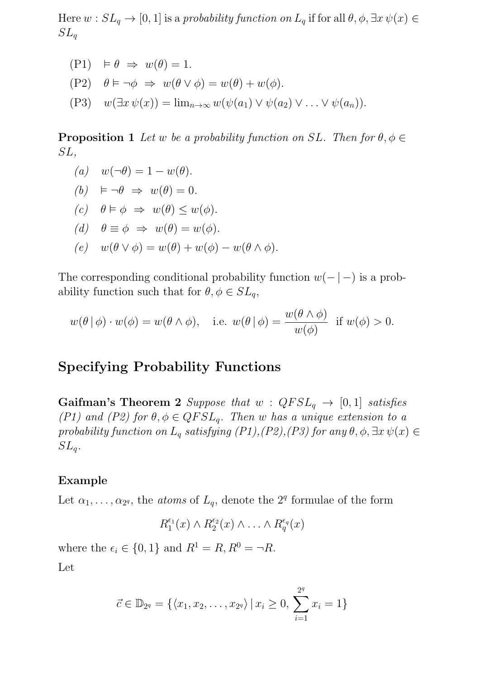Here  $w : SL_q \to [0, 1]$  is a probability function on  $L_q$  if for all  $\theta, \phi, \exists x \psi(x) \in$  $SL_q$ 

 $(P1) \models \theta \Rightarrow w(\theta) = 1.$ (P2)  $\theta \models \neg \phi \Rightarrow w(\theta \lor \phi) = w(\theta) + w(\phi)$ . (P3)  $w(\exists x \psi(x)) = \lim_{n \to \infty} w(\psi(a_1) \vee \psi(a_2) \vee \ldots \vee \psi(a_n)).$ 

**Proposition 1** Let w be a probability function on SL. Then for  $\theta, \phi \in$ SL,

(a)  $w(\neg \theta) = 1 - w(\theta)$ . (b)  $\models \neg \theta \Rightarrow w(\theta) = 0.$ (c)  $\theta \models \phi \Rightarrow w(\theta) \leq w(\phi)$ . (d)  $\theta \equiv \phi \Rightarrow w(\theta) = w(\phi)$ . (e)  $w(\theta \vee \phi) = w(\theta) + w(\phi) - w(\theta \wedge \phi)$ .

The corresponding conditional probability function  $w(- \mid -)$  is a probability function such that for  $\theta, \phi \in SL_q$ ,

$$
w(\theta | \phi) \cdot w(\phi) = w(\theta \wedge \phi),
$$
 i.e.  $w(\theta | \phi) = \frac{w(\theta \wedge \phi)}{w(\phi)}$  if  $w(\phi) > 0$ .

### Specifying Probability Functions

Gaifman's Theorem 2 Suppose that  $w$  :  $QFSL_q \rightarrow [0,1]$  satisfies (P1) and (P2) for  $\theta, \phi \in QFSL_q$ . Then w has a unique extension to a probability function on  $L_q$  satisfying (P1),(P2),(P3) for any  $\theta$ ,  $\phi$ ,  $\exists x \psi(x) \in$  $SL_q$ .

#### Example

Let  $\alpha_1, \ldots, \alpha_{2^q}$ , the *atoms* of  $L_q$ , denote the 2<sup>q</sup> formulae of the form

$$
R_1^{\epsilon_1}(x) \wedge R_2^{\epsilon_2}(x) \wedge \ldots \wedge R_q^{\epsilon_q}(x)
$$

where the  $\epsilon_i \in \{0, 1\}$  and  $R^1 = R$ ,  $R^0 = \neg R$ .

Let

$$
\vec{c} \in \mathbb{D}_{2^q} = \{ \langle x_1, x_2, \dots, x_{2^q} \rangle \, | \, x_i \geq 0, \, \sum_{i=1}^{2^q} x_i = 1 \}
$$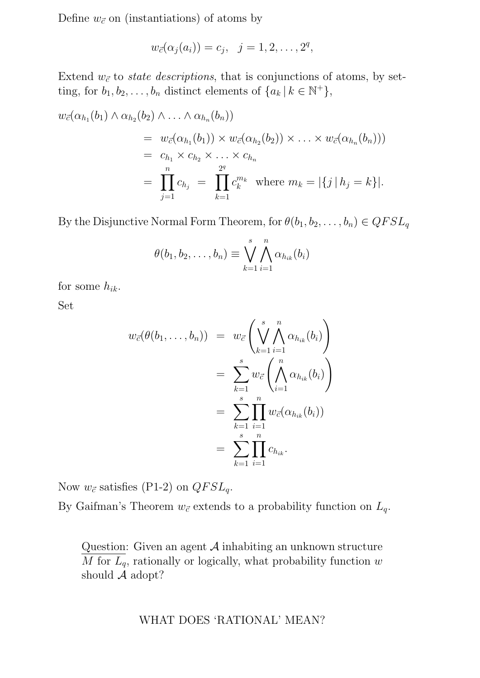Define  $w_{\vec{c}}$  on (instantiations) of atoms by

$$
w_{\vec{c}}(\alpha_j(a_i)) = c_j, \quad j = 1, 2, \dots, 2^q,
$$

Extend  $w_{\vec{c}}$  to *state descriptions*, that is conjunctions of atoms, by setting, for  $b_1, b_2, \ldots, b_n$  distinct elements of  $\{a_k | k \in \mathbb{N}^+\},$ 

$$
w_{\vec{c}}(\alpha_{h_1}(b_1) \wedge \alpha_{h_2}(b_2) \wedge \ldots \wedge \alpha_{h_n}(b_n))
$$
  
=  $w_{\vec{c}}(\alpha_{h_1}(b_1)) \times w_{\vec{c}}(\alpha_{h_2}(b_2)) \times \ldots \times w_{\vec{c}}(\alpha_{h_n}(b_n)))$   
=  $c_{h_1} \times c_{h_2} \times \ldots \times c_{h_n}$   
=  $\prod_{j=1}^n c_{h_j} = \prod_{k=1}^{2^q} c_k^{m_k}$  where  $m_k = |\{j \mid h_j = k\}|$ .

By the Disjunctive Normal Form Theorem, for  $\theta(b_1, b_2, \ldots, b_n) \in QFSL_q$ 

$$
\theta(b_1, b_2, \dots, b_n) \equiv \bigvee_{k=1}^s \bigwedge_{i=1}^n \alpha_{h_{ik}}(b_i)
$$

for some  $h_{ik}$ .

Set

$$
w_{\vec{c}}(\theta(b_1,\ldots,b_n)) = w_{\vec{c}}\left(\bigvee_{k=1}^s \bigwedge_{i=1}^n \alpha_{h_{ik}}(b_i)\right)
$$
  

$$
= \sum_{k=1}^s w_{\vec{c}}\left(\bigwedge_{i=1}^n \alpha_{h_{ik}}(b_i)\right)
$$
  

$$
= \sum_{k=1}^s \prod_{i=1}^n w_{\vec{c}}(\alpha_{h_{ik}}(b_i))
$$
  

$$
= \sum_{k=1}^s \prod_{i=1}^n c_{h_{ik}}.
$$

Now  $w_{\vec{c}}$  satisfies (P1-2) on  $QFSL_q$ .

By Gaifman's Theorem  $w_{\vec{c}}$  extends to a probability function on  $L_q$ .

Question: Given an agent A inhabiting an unknown structure  $\overline{M}$  for  $\overline{L_q}$ , rationally or logically, what probability function w should A adopt?

WHAT DOES 'RATIONAL' MEAN?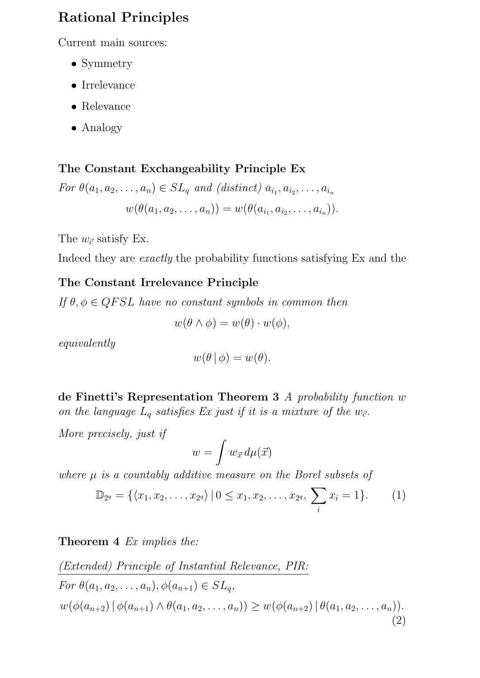# Rational Principles

Current main sources:

- Symmetry
- Irrelevance
- Relevance
- Analogy

# The Constant Exchangeability Principle Ex

For 
$$
\theta(a_1, a_2, \ldots, a_n) \in SL_q
$$
 and (distinct)  $a_{i_1}, a_{i_2}, \ldots, a_{i_n}$   

$$
w(\theta(a_1, a_2, \ldots, a_n)) = w(\theta(a_{i_1}, a_{i_2}, \ldots, a_{i_n})).
$$

The  $w_{\vec{c}}$  satisfy Ex.

Indeed they are exactly the probability functions satisfying Ex and the

## The Constant Irrelevance Principle

If  $\theta, \phi \in QFSL$  have no constant symbols in common then

$$
w(\theta \wedge \phi) = w(\theta) \cdot w(\phi),
$$

equivalently

$$
w(\theta | \phi) = w(\theta).
$$

de Finetti's Representation Theorem 3 A probability function w on the language  $L_q$  satisfies Ex just if it is a mixture of the  $w_{\vec{c}}$ .

More precisely, just if

$$
w = \int w_{\vec{x}} \, d\mu(\vec{x})
$$

where  $\mu$  is a countably additive measure on the Borel subsets of

$$
\mathbb{D}_{2^q} = \{ \langle x_1, x_2, \dots, x_{2^q} \rangle \, | \, 0 \le x_1, x_2, \dots, x_{2^q}, \, \sum_i x_i = 1 \}. \qquad (1)
$$

### Theorem 4 Ex implies the:

$$
\frac{(Extended) Principle\ of\ Instantial\ Relevance, PIR:}{For\ \theta(a_1, a_2, \ldots, a_n), \phi(a_{n+1}) \in SL_q,}
$$
  

$$
w(\phi(a_{n+2}) | \phi(a_{n+1}) \wedge \theta(a_1, a_2, \ldots, a_n)) \ge w(\phi(a_{n+2}) | \theta(a_1, a_2, \ldots, a_n)).
$$
\n(2)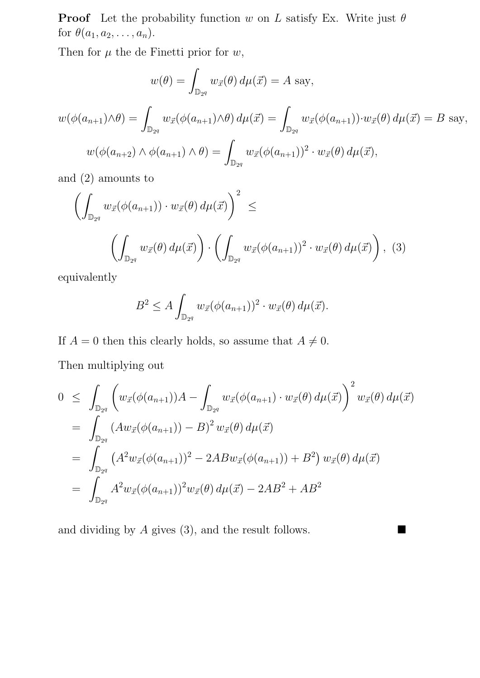**Proof** Let the probability function w on L satisfy Ex. Write just  $\theta$ for  $\theta(a_1, a_2, \ldots, a_n)$ .

Then for  $\mu$  the de Finetti prior for  $w$ ,

$$
w(\theta) = \int_{\mathbb{D}_{2^q}} w_{\vec{x}}(\theta) d\mu(\vec{x}) = A \text{ say},
$$
  

$$
w(\phi(a_{n+1}) \wedge \theta) = \int_{\mathbb{D}_{2^q}} w_{\vec{x}}(\phi(a_{n+1}) \wedge \theta) d\mu(\vec{x}) = \int_{\mathbb{D}_{2^q}} w_{\vec{x}}(\phi(a_{n+1})) \cdot w_{\vec{x}}(\theta) d\mu(\vec{x}) = B \text{ say},
$$
  

$$
w(\phi(a_{n+2}) \wedge \phi(a_{n+1}) \wedge \theta) = \int_{\mathbb{D}_{2^q}} w_{\vec{x}}(\phi(a_{n+1}))^2 \cdot w_{\vec{x}}(\theta) d\mu(\vec{x}),
$$

and (2) amounts to

$$
\left(\int_{\mathbb{D}_{2q}} w_{\vec{x}}(\phi(a_{n+1})) \cdot w_{\vec{x}}(\theta) d\mu(\vec{x})\right)^2 \leq \left(\int_{\mathbb{D}_{2q}} w_{\vec{x}}(\phi(a_{n+1}))^2 \cdot w_{\vec{x}}(\theta) d\mu(\vec{x})\right), (3)
$$

equivalently

$$
B^2 \le A \int_{\mathbb{D}_{2^q}} w_{\vec{x}}(\phi(a_{n+1}))^2 \cdot w_{\vec{x}}(\theta) d\mu(\vec{x}).
$$

If  $A = 0$  then this clearly holds, so assume that  $A \neq 0$ .

Then multiplying out

$$
0 \leq \int_{\mathbb{D}_{2q}} \left( w_{\vec{x}}(\phi(a_{n+1})) A - \int_{\mathbb{D}_{2q}} w_{\vec{x}}(\phi(a_{n+1}) \cdot w_{\vec{x}}(\theta) d\mu(\vec{x}) \right)^2 w_{\vec{x}}(\theta) d\mu(\vec{x})
$$
  
\n
$$
= \int_{\mathbb{D}_{2q}} (Aw_{\vec{x}}(\phi(a_{n+1})) - B)^2 w_{\vec{x}}(\theta) d\mu(\vec{x})
$$
  
\n
$$
= \int_{\mathbb{D}_{2q}} (A^2 w_{\vec{x}}(\phi(a_{n+1}))^2 - 2ABw_{\vec{x}}(\phi(a_{n+1})) + B^2) w_{\vec{x}}(\theta) d\mu(\vec{x})
$$
  
\n
$$
= \int_{\mathbb{D}_{2q}} A^2 w_{\vec{x}}(\phi(a_{n+1}))^2 w_{\vec{x}}(\theta) d\mu(\vec{x}) - 2AB^2 + AB^2
$$

and dividing by  $A$  gives (3), and the result follows.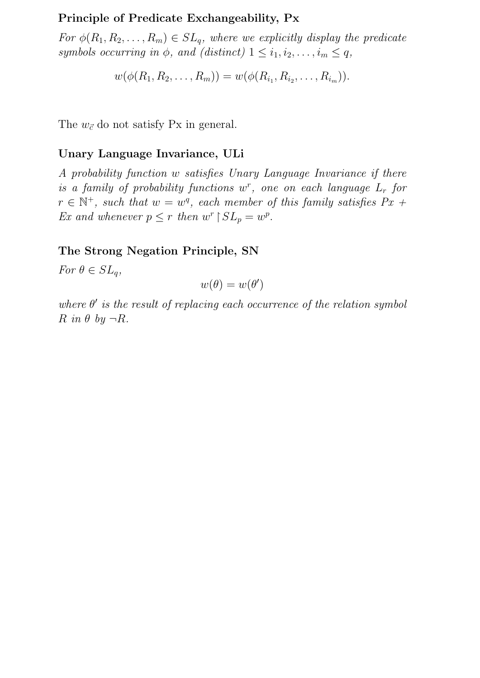#### Principle of Predicate Exchangeability, Px

For  $\phi(R_1, R_2, \ldots, R_m) \in SL_q$ , where we explicitly display the predicate symbols occurring in  $\phi$ , and (distinct)  $1 \leq i_1, i_2, \ldots, i_m \leq q$ ,

$$
w(\phi(R_1, R_2, \ldots, R_m)) = w(\phi(R_{i_1}, R_{i_2}, \ldots, R_{i_m})).
$$

The  $w_{\vec{c}}$  do not satisfy Px in general.

#### Unary Language Invariance, ULi

A probability function w satisfies Unary Language Invariance if there is a family of probability functions  $w^r$ , one on each language  $L_r$  for  $r \in \mathbb{N}^+$ , such that  $w = w^q$ , each member of this family satisfies  $Px$  + Ex and whenever  $p \leq r$  then  $w^r \upharpoonright SL_p = w^p$ .

#### The Strong Negation Principle, SN

For  $\theta \in SL_a$ ,

$$
w(\theta) = w(\theta')
$$

where  $\theta'$  is the result of replacing each occurrence of the relation symbol  $R$  in  $\theta$  by  $\neg R$ .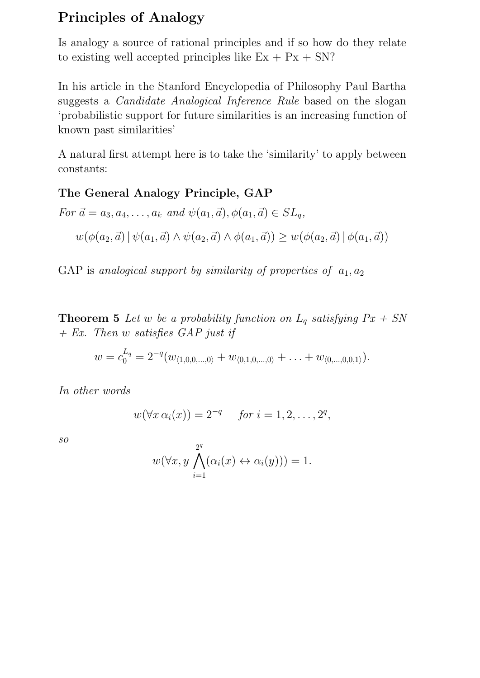# Principles of Analogy

Is analogy a source of rational principles and if so how do they relate to existing well accepted principles like  $Ex + Px + SN$ ?

In his article in the Stanford Encyclopedia of Philosophy Paul Bartha suggests a Candidate Analogical Inference Rule based on the slogan 'probabilistic support for future similarities is an increasing function of known past similarities'

A natural first attempt here is to take the 'similarity' to apply between constants:

### The General Analogy Principle, GAP

For 
$$
\vec{a} = a_3, a_4, ..., a_k
$$
 and  $\psi(a_1, \vec{a}), \phi(a_1, \vec{a}) \in SL_q$ ,  

$$
w(\phi(a_2, \vec{a}) | \psi(a_1, \vec{a}) \wedge \psi(a_2, \vec{a}) \wedge \phi(a_1, \vec{a})) \geq w(\phi(a_2, \vec{a}) | \phi(a_1, \vec{a}))
$$

GAP is analogical support by similarity of properties of  $a_1, a_2$ 

**Theorem 5** Let w be a probability function on  $L_q$  satisfying  $Px + SN$  $+ Ex.$  Then w satisfies GAP just if

$$
w = c_0^{L_q} = 2^{-q}(w_{\langle 1,0,0,\dots,0\rangle} + w_{\langle 0,1,0,\dots,0\rangle} + \dots + w_{\langle 0,\dots,0,0,1\rangle}).
$$

In other words

$$
w(\forall x \alpha_i(x)) = 2^{-q} \quad \text{ for } i = 1, 2, \dots, 2^q,
$$

so

$$
w(\forall x, y \bigwedge_{i=1}^{2^q} (\alpha_i(x) \leftrightarrow \alpha_i(y))) = 1.
$$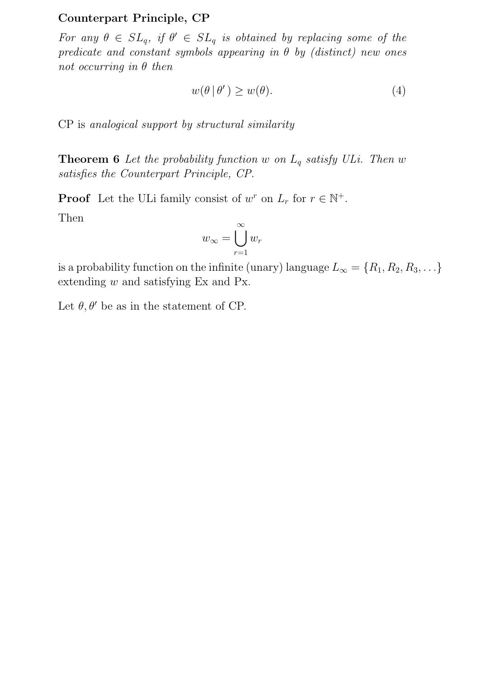#### Counterpart Principle, CP

For any  $\theta \in SL_q$ , if  $\theta' \in SL_q$  is obtained by replacing some of the predicate and constant symbols appearing in  $\theta$  by (distinct) new ones not occurring in  $\theta$  then

$$
w(\theta \,|\, \theta') \ge w(\theta). \tag{4}
$$

CP is analogical support by structural similarity

**Theorem 6** Let the probability function w on  $L_q$  satisfy ULi. Then w satisfies the Counterpart Principle, CP.

**Proof** Let the ULi family consist of  $w^r$  on  $L_r$  for  $r \in \mathbb{N}^+$ .

Then

$$
w_{\infty} = \bigcup_{r=1}^{\infty} w_r
$$

is a probability function on the infinite (unary) language  $L_{\infty} = \{R_1, R_2, R_3, \ldots\}$ extending w and satisfying Ex and Px.

Let  $\theta$ ,  $\theta'$  be as in the statement of CP.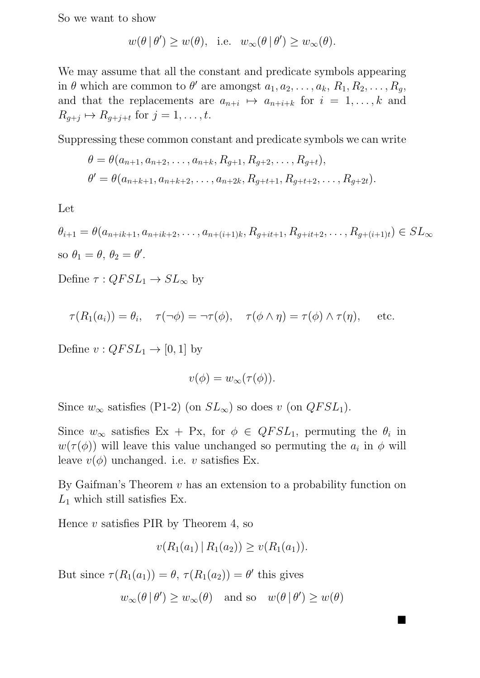So we want to show

$$
w(\theta | \theta') \ge w(\theta)
$$
, i.e.  $w_{\infty}(\theta | \theta') \ge w_{\infty}(\theta)$ .

We may assume that all the constant and predicate symbols appearing in  $\theta$  which are common to  $\theta'$  are amongst  $a_1, a_2, \ldots, a_k, R_1, R_2, \ldots, R_g$ , and that the replacements are  $a_{n+i} \mapsto a_{n+i+k}$  for  $i = 1, \ldots, k$  and  $R_{g+j} \mapsto R_{g+j+t}$  for  $j = 1, \ldots, t$ .

Suppressing these common constant and predicate symbols we can write

$$
\theta = \theta(a_{n+1}, a_{n+2}, \dots, a_{n+k}, R_{g+1}, R_{g+2}, \dots, R_{g+t}),
$$
  

$$
\theta' = \theta(a_{n+k+1}, a_{n+k+2}, \dots, a_{n+2k}, R_{g+t+1}, R_{g+t+2}, \dots, R_{g+2t}).
$$

Let

 $\theta_{i+1} = \theta(a_{n+ik+1}, a_{n+ik+2}, \ldots, a_{n+(i+1)k}, R_{q+it+1}, R_{q+it+2}, \ldots, R_{q+(i+1)t}) \in SL_{\infty}$ so  $\theta_1 = \theta$ ,  $\theta_2 = \theta'$ .

Define  $\tau: QFSL_1 \to SL_{\infty}$  by

$$
\tau(R_1(a_i)) = \theta_i, \quad \tau(\neg \phi) = \neg \tau(\phi), \quad \tau(\phi \land \eta) = \tau(\phi) \land \tau(\eta), \quad \text{etc.}
$$

Define  $v: QFSL_1 \rightarrow [0, 1]$  by

$$
v(\phi) = w_{\infty}(\tau(\phi)).
$$

Since  $w_{\infty}$  satisfies (P1-2) (on  $SL_{\infty}$ ) so does v (on  $QFSL_1$ ).

Since  $w_{\infty}$  satisfies Ex + Px, for  $\phi \in QFSL_1$ , permuting the  $\theta_i$  in  $w(\tau(\phi))$  will leave this value unchanged so permuting the  $a_i$  in  $\phi$  will leave  $v(\phi)$  unchanged. i.e. v satisfies Ex.

By Gaifman's Theorem  $v$  has an extension to a probability function on  $L_1$  which still satisfies Ex.

Hence  $v$  satisfies PIR by Theorem 4, so

$$
v(R_1(a_1) | R_1(a_2)) \ge v(R_1(a_1)).
$$

But since  $\tau(R_1(a_1)) = \theta$ ,  $\tau(R_1(a_2)) = \theta'$  this gives

$$
w_{\infty}(\theta | \theta') \ge w_{\infty}(\theta)
$$
 and so  $w(\theta | \theta') \ge w(\theta)$ 

ш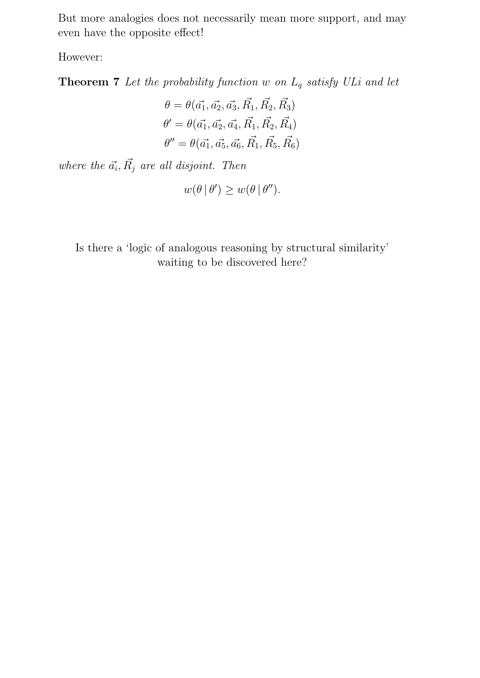But more analogies does not necessarily mean more support, and may even have the opposite effect!

However:

**Theorem 7** Let the probability function w on  $L_q$  satisfy ULi and let

$$
\theta = \theta(\vec{a_1}, \vec{a_2}, \vec{a_3}, \vec{R_1}, \vec{R_2}, \vec{R_3})
$$

$$
\theta' = \theta(\vec{a_1}, \vec{a_2}, \vec{a_4}, \vec{R_1}, \vec{R_2}, \vec{R_4})
$$

$$
\theta'' = \theta(\vec{a_1}, \vec{a_5}, \vec{a_6}, \vec{R_1}, \vec{R_5}, \vec{R_6})
$$

where the  $\vec{a_i}, \vec{R_j}$  are all disjoint. Then

$$
w(\theta | \theta') \ge w(\theta | \theta'').
$$

Is there a 'logic of analogous reasoning by structural similarity' waiting to be discovered here?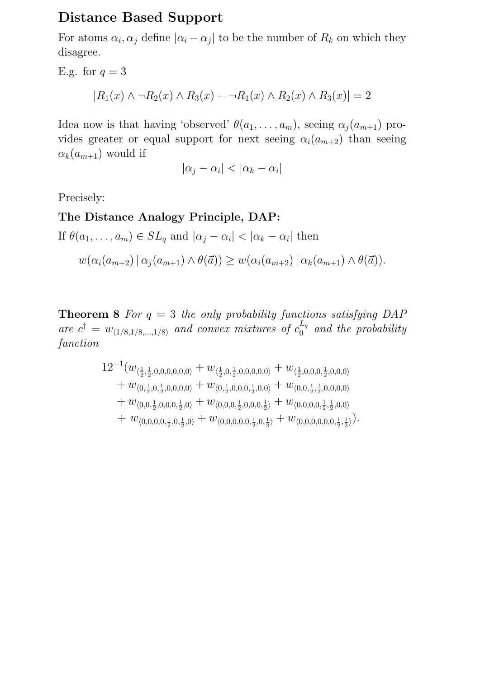## Distance Based Support

For atoms  $\alpha_i, \alpha_j$  define  $|\alpha_i - \alpha_j|$  to be the number of  $R_k$  on which they disagree.

E.g. for 
$$
q = 3
$$
  
\n $|R_1(x) \land \neg R_2(x) \land R_3(x) - \neg R_1(x) \land R_2(x) \land R_3(x)| = 2$ 

Idea now is that having 'observed'  $\theta(a_1, \ldots, a_m)$ , seeing  $\alpha_j(a_{m+1})$  provides greater or equal support for next seeing  $\alpha_i(a_{m+2})$  than seeing  $\alpha_k(a_{m+1})$  would if

$$
|\alpha_j - \alpha_i| < |\alpha_k - \alpha_i|
$$

Precisely:

#### The Distance Analogy Principle, DAP:

If 
$$
\theta(a_1, \ldots, a_m) \in SL_q
$$
 and  $|\alpha_j - \alpha_i| < |\alpha_k - \alpha_i|$  then

$$
w(\alpha_i(a_{m+2}) \mid \alpha_j(a_{m+1}) \wedge \theta(\vec{a})) \geq w(\alpha_i(a_{m+2}) \mid \alpha_k(a_{m+1}) \wedge \theta(\vec{a})).
$$

**Theorem 8** For  $q = 3$  the only probability functions satisfying DAP are  $c^{\dagger} = w_{\langle 1/8,1/8,\dots,1/8 \rangle}$  and convex mixtures of  $c_0^{L_q}$  $\int_0^{L_q}$  and the probability function

$$
\begin{aligned}12^{-1}&(w_{\langle\frac{1}{2},\frac{1}{2},0,0,0,0,0,0\rangle}+w_{\langle\frac{1}{2},0,\frac{1}{2},0,0,0,0,0\rangle}+w_{\langle\frac{1}{2},0,0,0,\frac{1}{2},0,0,0\rangle}\\&+w_{\langle0,\frac{1}{2},0,\frac{1}{2},0,0,0,0\rangle}+w_{\langle0,\frac{1}{2},0,0,0,\frac{1}{2},0,0\rangle}+w_{\langle0,0,\frac{1}{2},\frac{1}{2},0,0,0,0\rangle}\\&+w_{\langle0,0,\frac{1}{2},0,0,0,\frac{1}{2},0\rangle}+w_{\langle0,0,0,\frac{1}{2},0,0,0,\frac{1}{2}\rangle}+w_{\langle0,0,0,0,\frac{1}{2},\frac{1}{2},0,0\rangle}\\&+w_{\langle0,0,0,0,\frac{1}{2},0,\frac{1}{2},0\rangle}+w_{\langle0,0,0,0,0,\frac{1}{2},0,\frac{1}{2}\rangle}+w_{\langle0,0,0,0,0,\frac{1}{2},\frac{1}{2}\rangle}).\end{aligned}
$$